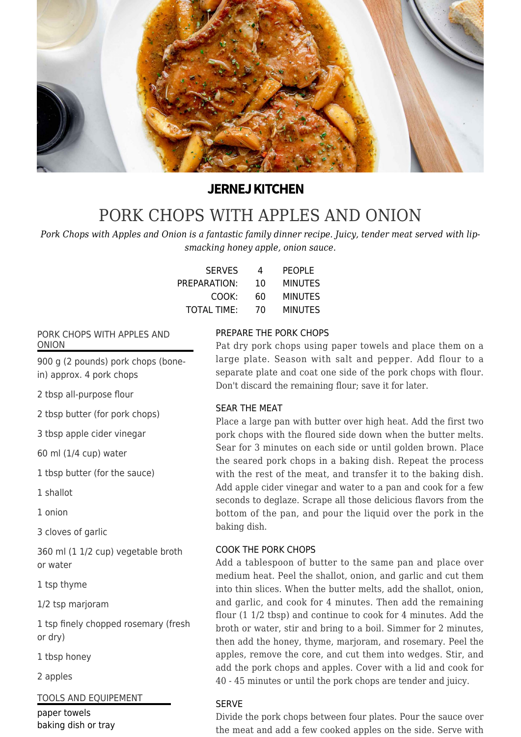

# **JERNEJ KITCHEN**

# [PORK CHOPS WITH APPLES AND ONION](https://jernejkitchen.com/recipes/pork-chops-apples-onion)

*Pork Chops with Apples and Onion is a fantastic family dinner recipe. Juicy, tender meat served with lipsmacking honey apple, onion sauce.*

| <b>SERVES</b>      | 4  | <b>PEOPLE</b>  |
|--------------------|----|----------------|
| PREPARATION:       | 10 | <b>MINUTES</b> |
| COOK:              | 60 | <b>MINUTES</b> |
| <b>TOTAL TIME:</b> | 70 | <b>MINUTES</b> |

## PORK CHOPS WITH APPLES AND ONION

900 g (2 pounds) pork chops (bonein) approx. 4 pork chops

2 tbsp all-purpose flour

2 tbsp butter (for pork chops)

3 tbsp apple cider vinegar

60 ml (1/4 cup) water

1 tbsp butter (for the sauce)

1 shallot

1 onion

3 cloves of garlic

360 ml (1 1/2 cup) vegetable broth or water

1 tsp thyme

1/2 tsp marjoram

1 tsp finely chopped rosemary (fresh or dry)

1 tbsp honey

2 apples

TOOLS AND EQUIPEMENT

paper towels baking dish or tray

# PREPARE THE PORK CHOPS

Pat dry pork chops using paper towels and place them on a large plate. Season with salt and pepper. Add flour to a separate plate and coat one side of the pork chops with flour. Don't discard the remaining flour; save it for later.

## SEAR THE MEAT

Place a large pan with butter over high heat. Add the first two pork chops with the floured side down when the butter melts. Sear for 3 minutes on each side or until golden brown. Place the seared pork chops in a baking dish. Repeat the process with the rest of the meat, and transfer it to the baking dish. Add apple cider vinegar and water to a pan and cook for a few seconds to deglaze. Scrape all those delicious flavors from the bottom of the pan, and pour the liquid over the pork in the baking dish.

## COOK THE PORK CHOPS

Add a tablespoon of butter to the same pan and place over medium heat. Peel the shallot, onion, and garlic and cut them into thin slices. When the butter melts, add the shallot, onion, and garlic, and cook for 4 minutes. Then add the remaining flour (1 1/2 tbsp) and continue to cook for 4 minutes. Add the broth or water, stir and bring to a boil. Simmer for 2 minutes, then add the honey, thyme, marjoram, and rosemary. Peel the apples, remove the core, and cut them into wedges. Stir, and add the pork chops and apples. Cover with a lid and cook for 40 - 45 minutes or until the pork chops are tender and juicy.

# SERVE

Divide the pork chops between four plates. Pour the sauce over the meat and add a few cooked apples on the side. Serve with